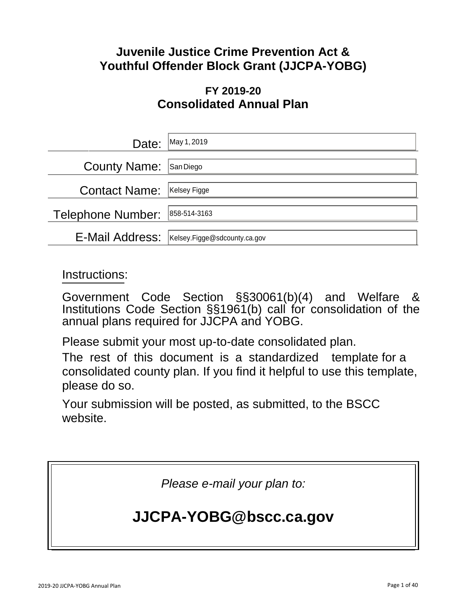# **Juvenile Justice Crime Prevention Act & Youthful Offender Block Grant (JJCPA-YOBG)**

# **FY 2019-20 Consolidated Annual Plan**

| Date:                | May 1, 2019                  |
|----------------------|------------------------------|
| <b>County Name:</b>  | San Diego                    |
| <b>Contact Name:</b> | Kelsey Figge                 |
| Telephone Number:    | 858-514-3163                 |
| E-Mail Address:      | Kelsey.Figge@sdcounty.ca.gov |

# Instructions:

Government Code Section §§30061(b)(4) and Welfare & Institutions Code Section §§1961(b) call for consolidation of the annual plans required for JJCPA and YOBG.

Please submit your most up-to-date consolidated plan.

The rest of this document is a standardized template for a consolidated county plan. If you find it helpful to use this template, please do so.

Your submission will be posted, as submitted, to the BSCC website.

*Please e-mail your plan to:*

# **[JJCPA-YOBG@bscc.ca.gov](mailto:JJCPA-YOBG@bscc.ca.gov)**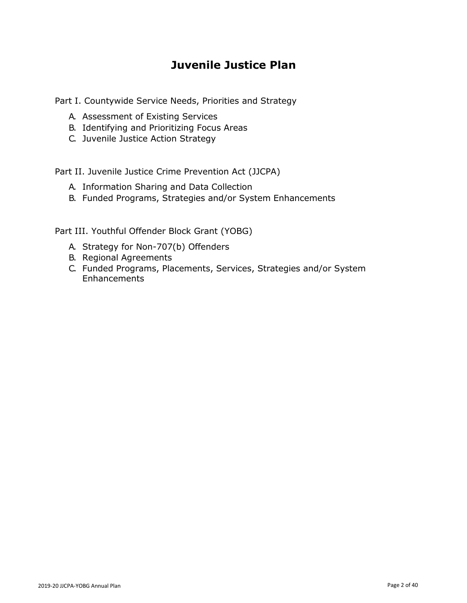# **Juvenile Justice Plan**

Part I. Countywide Service Needs, Priorities and Strategy

- A. Assessment of Existing Services
- B. Identifying and Prioritizing Focus Areas
- C. Juvenile Justice Action Strategy

Part II. Juvenile Justice Crime Prevention Act (JJCPA)

- A. Information Sharing and Data Collection
- B. Funded Programs, Strategies and/or System Enhancements

Part III. Youthful Offender Block Grant (YOBG)

- A. Strategy for Non-707(b) Offenders
- B. Regional Agreements
- C. Funded Programs, Placements, Services, Strategies and/or System **Enhancements**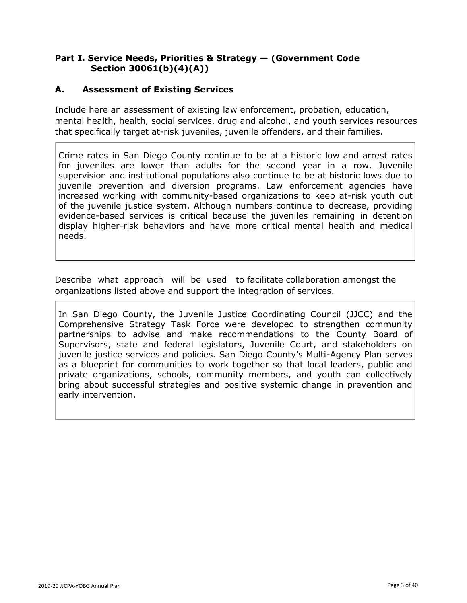#### **Part I. Service Needs, Priorities & Strategy — (Government Code Section 30061(b)(4)(A))**

#### **A. Assessment of Existing Services**

Include here an assessment of existing law enforcement, probation, education, mental health, health, social services, drug and alcohol, and youth services resources that specifically target at-risk juveniles, juvenile offenders, and their families.

Crime rates in San Diego County continue to be at a historic low and arrest rates for juveniles are lower than adults for the second year in a row. Juvenile supervision and institutional populations also continue to be at historic lows due to juvenile prevention and diversion programs. Law enforcement agencies have increased working with community-based organizations to keep at-risk youth out of the juvenile justice system. Although numbers continue to decrease, providing evidence-based services is critical because the juveniles remaining in detention display higher-risk behaviors and have more critical mental health and medical needs.

Describe what approach will be used to facilitate collaboration amongst the organizations listed above and support the integration of services.

In San Diego County, the Juvenile Justice Coordinating Council (JJCC) and the Comprehensive Strategy Task Force were developed to strengthen community partnerships to advise and make recommendations to the County Board of Supervisors, state and federal legislators, Juvenile Court, and stakeholders on juvenile justice services and policies. San Diego County's Multi-Agency Plan serves as a blueprint for communities to work together so that local leaders, public and private organizations, schools, community members, and youth can collectively bring about successful strategies and positive systemic change in prevention and early intervention.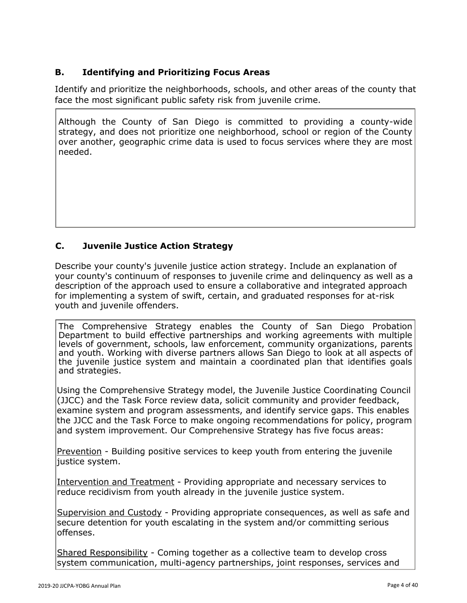# **B. Identifying and Prioritizing Focus Areas**

Identify and prioritize the neighborhoods, schools, and other areas of the county that face the most significant public safety risk from juvenile crime.

Although the County of San Diego is committed to providing a county-wide strategy, and does not prioritize one neighborhood, school or region of the County over another, geographic crime data is used to focus services where they are most needed.

# **C. Juvenile Justice Action Strategy**

Describe your county's juvenile justice action strategy. Include an explanation of your county's continuum of responses to juvenile crime and delinquency as well as a description of the approach used to ensure a collaborative and integrated approach for implementing a system of swift, certain, and graduated responses for at-risk youth and juvenile offenders.

The Comprehensive Strategy enables the County of San Diego Probation Department to build effective partnerships and working agreements with multiple levels of government, schools, law enforcement, community organizations, parents and youth. Working with diverse partners allows San Diego to look at all aspects of the juvenile justice system and maintain a coordinated plan that identifies goals and strategies.

Using the Comprehensive Strategy model, the Juvenile Justice Coordinating Council (JJCC) and the Task Force review data, solicit community and provider feedback, examine system and program assessments, and identify service gaps. This enables the JJCC and the Task Force to make ongoing recommendations for policy, program and system improvement. Our Comprehensive Strategy has five focus areas:

Prevention - Building positive services to keep youth from entering the juvenile liustice system.

Intervention and Treatment - Providing appropriate and necessary services to reduce recidivism from youth already in the juvenile justice system.

Supervision and Custody - Providing appropriate consequences, as well as safe and secure detention for youth escalating in the system and/or committing serious offenses.

Shared Responsibility - Coming together as a collective team to develop cross system communication, multi-agency partnerships, joint responses, services and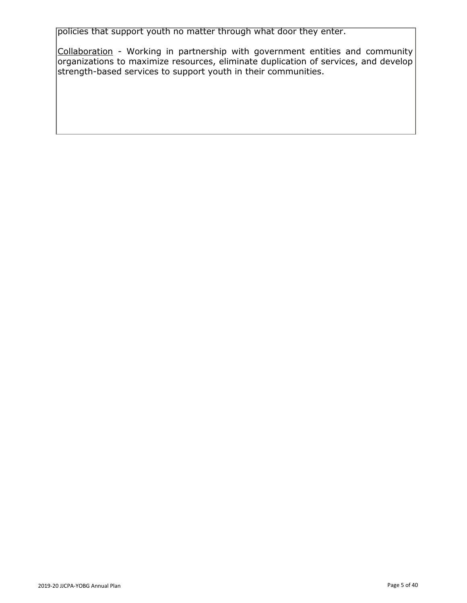policies that support youth no matter through what door they enter.

Collaboration - Working in partnership with government entities and community organizations to maximize resources, eliminate duplication of services, and develop strength-based services to support youth in their communities.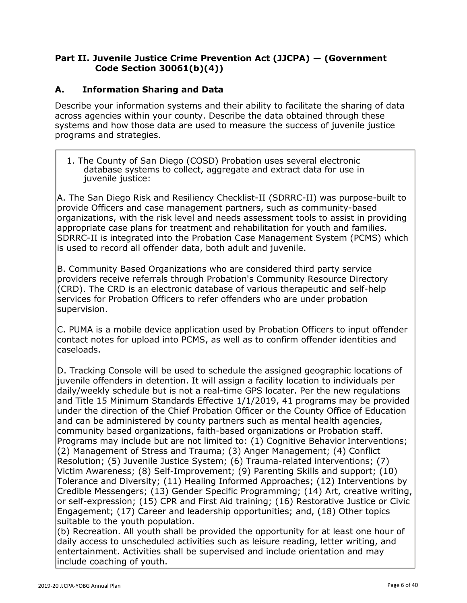#### **Part II. Juvenile Justice Crime Prevention Act (JJCPA) — (Government Code Section 30061(b)(4))**

#### **A. Information Sharing and Data**

Describe your information systems and their ability to facilitate the sharing of data across agencies within your county. Describe the data obtained through these systems and how those data are used to measure the success of juvenile justice programs and strategies.

1. The County of San Diego (COSD) Probation uses several electronic database systems to collect, aggregate and extract data for use in juvenile justice:

A. The San Diego Risk and Resiliency Checklist-II (SDRRC-II) was purpose-built to provide Officers and case management partners, such as community-based organizations, with the risk level and needs assessment tools to assist in providing appropriate case plans for treatment and rehabilitation for youth and families. SDRRC-II is integrated into the Probation Case Management System (PCMS) which is used to record all offender data, both adult and juvenile.

B. Community Based Organizations who are considered third party service providers receive referrals through Probation's Community Resource Directory (CRD). The CRD is an electronic database of various therapeutic and self-help services for Probation Officers to refer offenders who are under probation supervision.

C. PUMA is a mobile device application used by Probation Officers to input offender contact notes for upload into PCMS, as well as to confirm offender identities and caseloads.

D. Tracking Console will be used to schedule the assigned geographic locations of juvenile offenders in detention. It will assign a facility location to individuals per daily/weekly schedule but is not a real-time GPS locater. Per the new regulations and Title 15 Minimum Standards Effective 1/1/2019, 41 programs may be provided under the direction of the Chief Probation Officer or the County Office of Education and can be administered by county partners such as mental health agencies, community based organizations, faith-based organizations or Probation staff. Programs may include but are not limited to: (1) Cognitive Behavior Interventions; (2) Management of Stress and Trauma; (3) Anger Management; (4) Conflict Resolution; (5) Juvenile Justice System; (6) Trauma-related interventions; (7) Victim Awareness; (8) Self-Improvement; (9) Parenting Skills and support; (10) Tolerance and Diversity; (11) Healing Informed Approaches; (12) Interventions by Credible Messengers; (13) Gender Specific Programming; (14) Art, creative writing, or self-expression; (15) CPR and First Aid training; (16) Restorative Justice or Civic Engagement; (17) Career and leadership opportunities; and, (18) Other topics suitable to the youth population.

(b) Recreation. All youth shall be provided the opportunity for at least one hour of daily access to unscheduled activities such as leisure reading, letter writing, and entertainment. Activities shall be supervised and include orientation and may include coaching of youth.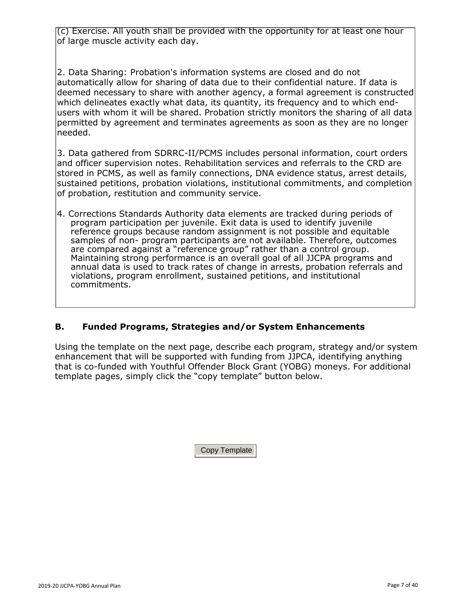(c) Exercise. All youth shall be provided with the opportunity for at least one hour of large muscle activity each day.

2. Data Sharing: Probation's information systems are closed and do not automatically allow for sharing of data due to their confidential nature. If data is deemed necessary to share with another agency, a formal agreement is constructed which delineates exactly what data, its quantity, its frequency and to which endusers with whom it will be shared. Probation strictly monitors the sharing of all data permitted by agreement and terminates agreements as soon as they are no longer needed.

3. Data gathered from SDRRC-II/PCMS includes personal information, court orders and officer supervision notes. Rehabilitation services and referrals to the CRD are stored in PCMS, as well as family connections, DNA evidence status, arrest details, sustained petitions, probation violations, institutional commitments, and completion of probation, restitution and community service.

4. Corrections Standards Authority data elements are tracked during periods of program participation per juvenile. Exit data is used to identify juvenile reference groups because random assignment is not possible and equitable samples of non- program participants are not available. Therefore, outcomes are compared against a "reference group" rather than a control group. Maintaining strong performance is an overall goal of all JJCPA programs and annual data is used to track rates of change in arrests, probation referrals and violations, program enrollment, sustained petitions, and institutional commitments.

#### **B. Funded Programs, Strategies and/or System Enhancements**

Using the template on the next page, describe each program, strategy and/or system enhancement that will be supported with funding from JJPCA, identifying anything that is co-funded with Youthful Offender Block Grant (YOBG) moneys. For additional template pages, simply click the "copy template" button below.

Copy Template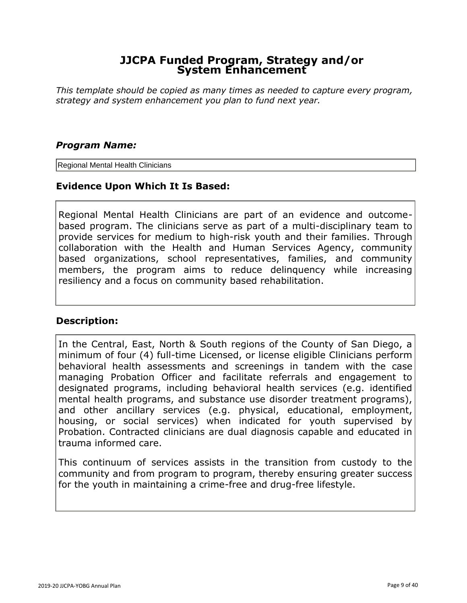*This template should be copied as many times as needed to capture every program, strategy and system enhancement you plan to fund next year.*

#### *Program Name:*

Regional Mental Health Clinicians

#### **Evidence Upon Which It Is Based:**

Regional Mental Health Clinicians are part of an evidence and outcomebased program. The clinicians serve as part of a multi-disciplinary team to provide services for medium to high-risk youth and their families. Through collaboration with the Health and Human Services Agency, community based organizations, school representatives, families, and community members, the program aims to reduce delinquency while increasing resiliency and a focus on community based rehabilitation.

#### **Description:**

In the Central, East, North & South regions of the County of San Diego, a minimum of four (4) full-time Licensed, or license eligible Clinicians perform behavioral health assessments and screenings in tandem with the case managing Probation Officer and facilitate referrals and engagement to designated programs, including behavioral health services (e.g. identified mental health programs, and substance use disorder treatment programs), and other ancillary services (e.g. physical, educational, employment, housing, or social services) when indicated for youth supervised by Probation. Contracted clinicians are dual diagnosis capable and educated in trauma informed care.

This continuum of services assists in the transition from custody to the community and from program to program, thereby ensuring greater success for the youth in maintaining a crime-free and drug-free lifestyle.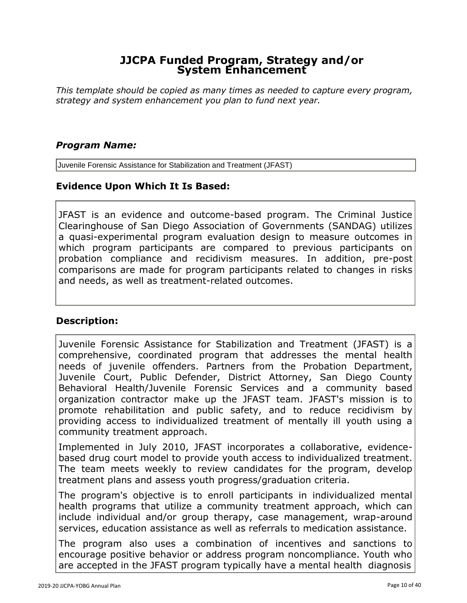*This template should be copied as many times as needed to capture every program, strategy and system enhancement you plan to fund next year.*

#### *Program Name:*

Juvenile Forensic Assistance for Stabilization and Treatment (JFAST)

# **Evidence Upon Which It Is Based:**

JFAST is an evidence and outcome-based program. The Criminal Justice Clearinghouse of San Diego Association of Governments (SANDAG) utilizes a quasi-experimental program evaluation design to measure outcomes in which program participants are compared to previous participants on probation compliance and recidivism measures. In addition, pre-post comparisons are made for program participants related to changes in risks and needs, as well as treatment-related outcomes.

#### **Description:**

Juvenile Forensic Assistance for Stabilization and Treatment (JFAST) is a comprehensive, coordinated program that addresses the mental health needs of juvenile offenders. Partners from the Probation Department, Juvenile Court, Public Defender, District Attorney, San Diego County Behavioral Health/Juvenile Forensic Services and a community based organization contractor make up the JFAST team. JFAST's mission is to promote rehabilitation and public safety, and to reduce recidivism by providing access to individualized treatment of mentally ill youth using a community treatment approach.

Implemented in July 2010, JFAST incorporates a collaborative, evidencebased drug court model to provide youth access to individualized treatment. The team meets weekly to review candidates for the program, develop treatment plans and assess youth progress/graduation criteria.

The program's objective is to enroll participants in individualized mental health programs that utilize a community treatment approach, which can include individual and/or group therapy, case management, wrap-around services, education assistance as well as referrals to medication assistance.

The program also uses a combination of incentives and sanctions to encourage positive behavior or address program noncompliance. Youth who are accepted in the JFAST program typically have a mental health diagnosis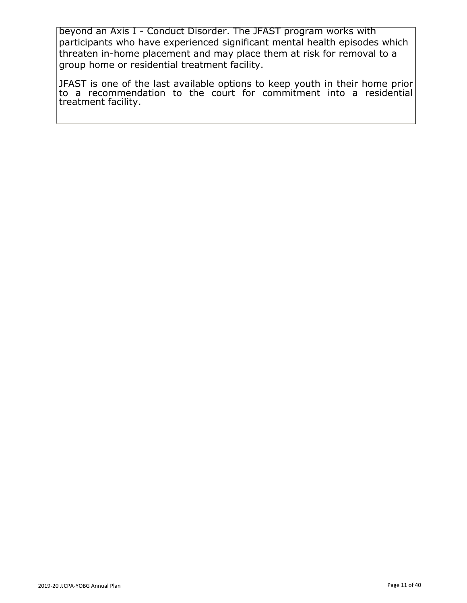beyond an Axis I - Conduct Disorder. The JFAST program works with participants who have experienced significant mental health episodes which threaten in-home placement and may place them at risk for removal to a group home or residential treatment facility.

JFAST is one of the last available options to keep youth in their home prior to a recommendation to the court for commitment into a residential treatment facility.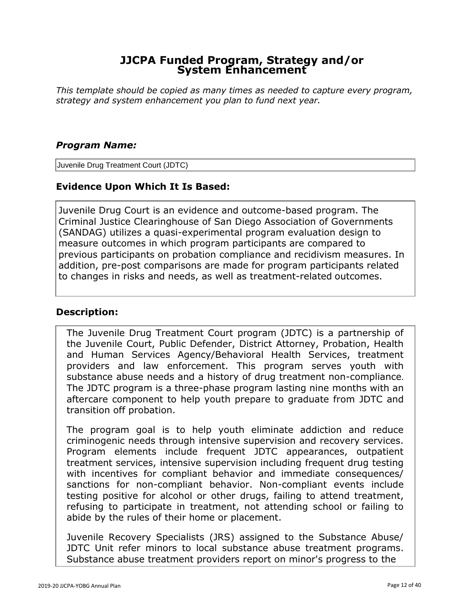*This template should be copied as many times as needed to capture every program, strategy and system enhancement you plan to fund next year.*

#### *Program Name:*

Juvenile Drug Treatment Court (JDTC)

#### **Evidence Upon Which It Is Based:**

Juvenile Drug Court is an evidence and outcome-based program. The Criminal Justice Clearinghouse of San Diego Association of Governments (SANDAG) utilizes a quasi-experimental program evaluation design to measure outcomes in which program participants are compared to previous participants on probation compliance and recidivism measures. In addition, pre-post comparisons are made for program participants related to changes in risks and needs, as well as treatment-related outcomes.

#### **Description:**

The Juvenile Drug Treatment Court program (JDTC) is a partnership of the Juvenile Court, Public Defender, District Attorney, Probation, Health and Human Services Agency/Behavioral Health Services, treatment providers and law enforcement. This program serves youth with substance abuse needs and a history of drug treatment non-compliance. The JDTC program is a three-phase program lasting nine months with an aftercare component to help youth prepare to graduate from JDTC and transition off probation.

The program goal is to help youth eliminate addiction and reduce criminogenic needs through intensive supervision and recovery services. Program elements include frequent JDTC appearances, outpatient treatment services, intensive supervision including frequent drug testing with incentives for compliant behavior and immediate consequences/ sanctions for non-compliant behavior. Non-compliant events include testing positive for alcohol or other drugs, failing to attend treatment, refusing to participate in treatment, not attending school or failing to abide by the rules of their home or placement.

Juvenile Recovery Specialists (JRS) assigned to the Substance Abuse/ JDTC Unit refer minors to local substance abuse treatment programs. Substance abuse treatment providers report on minor's progress to the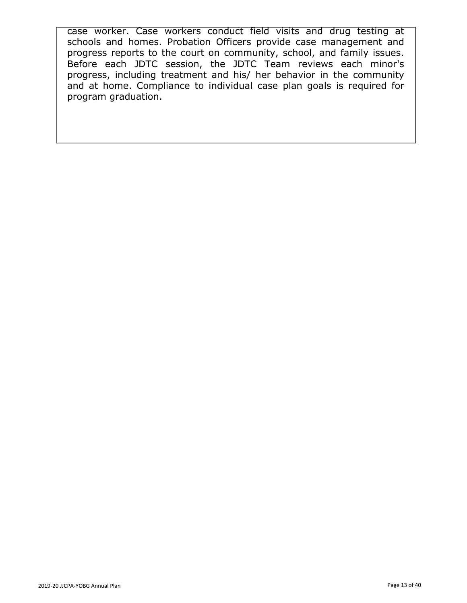case worker. Case workers conduct field visits and drug testing at schools and homes. Probation Officers provide case management and progress reports to the court on community, school, and family issues. Before each JDTC session, the JDTC Team reviews each minor's progress, including treatment and his/ her behavior in the community and at home. Compliance to individual case plan goals is required for program graduation.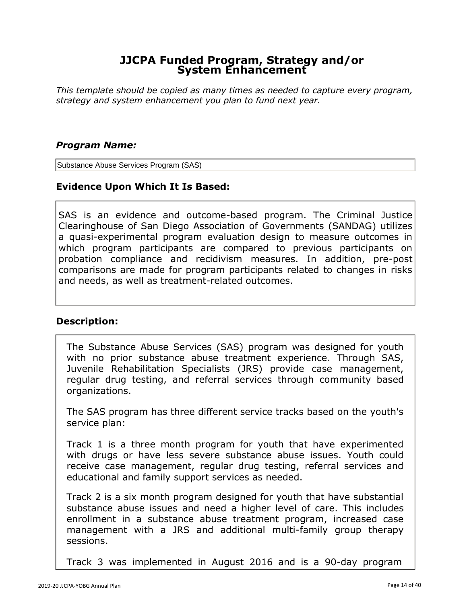*This template should be copied as many times as needed to capture every program, strategy and system enhancement you plan to fund next year.*

#### *Program Name:*

Substance Abuse Services Program (SAS)

#### **Evidence Upon Which It Is Based:**

SAS is an evidence and outcome-based program. The Criminal Justice Clearinghouse of San Diego Association of Governments (SANDAG) utilizes a quasi-experimental program evaluation design to measure outcomes in which program participants are compared to previous participants on probation compliance and recidivism measures. In addition, pre-post comparisons are made for program participants related to changes in risks and needs, as well as treatment-related outcomes.

#### **Description:**

The Substance Abuse Services (SAS) program was designed for youth with no prior substance abuse treatment experience. Through SAS, Juvenile Rehabilitation Specialists (JRS) provide case management, regular drug testing, and referral services through community based organizations.

The SAS program has three different service tracks based on the youth's service plan:

Track 1 is a three month program for youth that have experimented with drugs or have less severe substance abuse issues. Youth could receive case management, regular drug testing, referral services and educational and family support services as needed.

Track 2 is a six month program designed for youth that have substantial substance abuse issues and need a higher level of care. This includes enrollment in a substance abuse treatment program, increased case management with a JRS and additional multi-family group therapy sessions.

Track 3 was implemented in August 2016 and is a 90-day program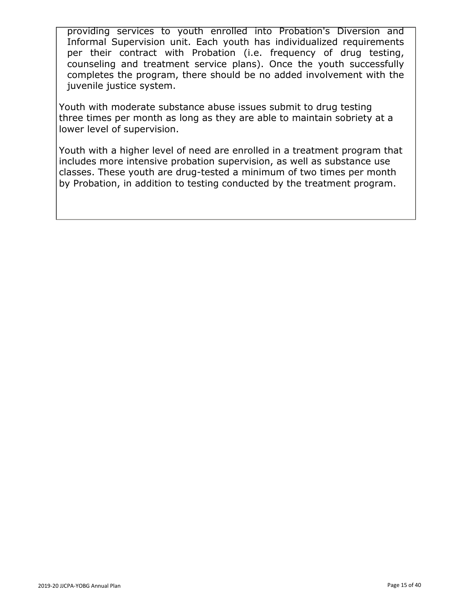providing services to youth enrolled into Probation's Diversion and Informal Supervision unit. Each youth has individualized requirements per their contract with Probation (i.e. frequency of drug testing, counseling and treatment service plans). Once the youth successfully completes the program, there should be no added involvement with the juvenile justice system.

Youth with moderate substance abuse issues submit to drug testing three times per month as long as they are able to maintain sobriety at a lower level of supervision.

Youth with a higher level of need are enrolled in a treatment program that includes more intensive probation supervision, as well as substance use classes. These youth are drug-tested a minimum of two times per month by Probation, in addition to testing conducted by the treatment program.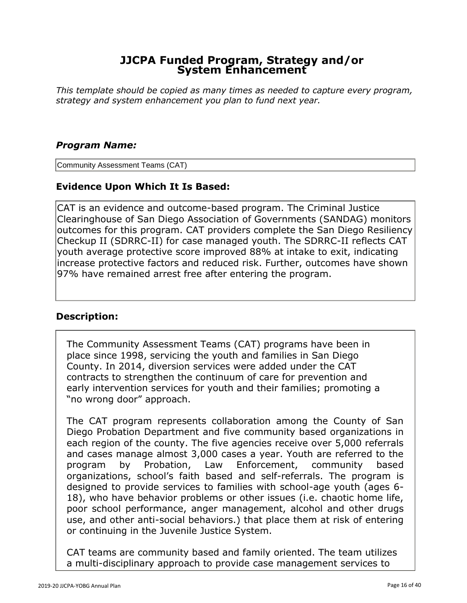*This template should be copied as many times as needed to capture every program, strategy and system enhancement you plan to fund next year.*

#### *Program Name:*

Community Assessment Teams (CAT)

# **Evidence Upon Which It Is Based:**

CAT is an evidence and outcome-based program. The Criminal Justice Clearinghouse of San Diego Association of Governments (SANDAG) monitors outcomes for this program. CAT providers complete the San Diego Resiliency Checkup II (SDRRC-II) for case managed youth. The SDRRC-II reflects CAT youth average protective score improved 88% at intake to exit, indicating increase protective factors and reduced risk. Further, outcomes have shown 97% have remained arrest free after entering the program.

#### **Description:**

The Community Assessment Teams (CAT) programs have been in place since 1998, servicing the youth and families in San Diego County. In 2014, diversion services were added under the CAT contracts to strengthen the continuum of care for prevention and early intervention services for youth and their families; promoting a "no wrong door" approach.

The CAT program represents collaboration among the County of San Diego Probation Department and five community based organizations in each region of the county. The five agencies receive over 5,000 referrals and cases manage almost 3,000 cases a year. Youth are referred to the program by Probation, Law Enforcement, community based organizations, school's faith based and self-referrals. The program is designed to provide services to families with school-age youth (ages 6- 18), who have behavior problems or other issues (i.e. chaotic home life, poor school performance, anger management, alcohol and other drugs use, and other anti-social behaviors.) that place them at risk of entering or continuing in the Juvenile Justice System.

CAT teams are community based and family oriented. The team utilizes a multi-disciplinary approach to provide case management services to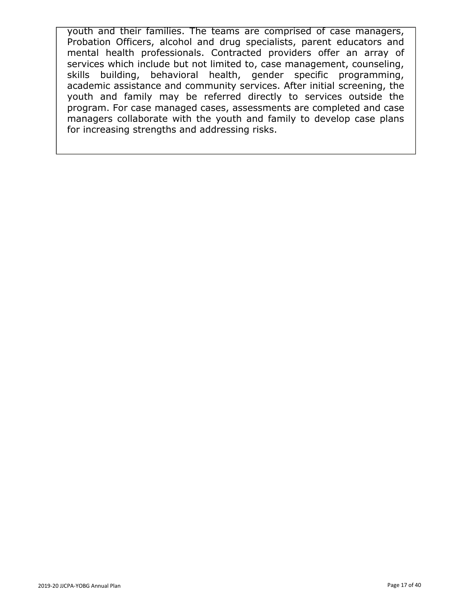youth and their families. The teams are comprised of case managers, Probation Officers, alcohol and drug specialists, parent educators and mental health professionals. Contracted providers offer an array of services which include but not limited to, case management, counseling, skills building, behavioral health, gender specific programming, academic assistance and community services. After initial screening, the youth and family may be referred directly to services outside the program. For case managed cases, assessments are completed and case managers collaborate with the youth and family to develop case plans for increasing strengths and addressing risks.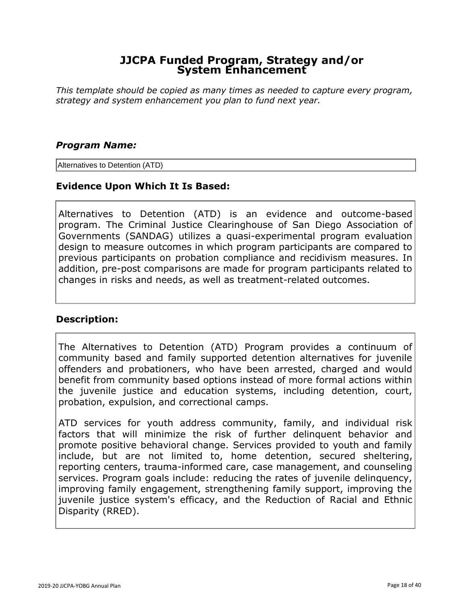*This template should be copied as many times as needed to capture every program, strategy and system enhancement you plan to fund next year.*

#### *Program Name:*

Alternatives to Detention (ATD)

#### **Evidence Upon Which It Is Based:**

Alternatives to Detention (ATD) is an evidence and outcome-based program. The Criminal Justice Clearinghouse of San Diego Association of Governments (SANDAG) utilizes a quasi-experimental program evaluation design to measure outcomes in which program participants are compared to previous participants on probation compliance and recidivism measures. In addition, pre-post comparisons are made for program participants related to changes in risks and needs, as well as treatment-related outcomes.

#### **Description:**

The Alternatives to Detention (ATD) Program provides a continuum of community based and family supported detention alternatives for juvenile offenders and probationers, who have been arrested, charged and would benefit from community based options instead of more formal actions within the juvenile justice and education systems, including detention, court, probation, expulsion, and correctional camps.

ATD services for youth address community, family, and individual risk factors that will minimize the risk of further delinquent behavior and promote positive behavioral change. Services provided to youth and family include, but are not limited to, home detention, secured sheltering, reporting centers, trauma-informed care, case management, and counseling services. Program goals include: reducing the rates of juvenile delinquency, improving family engagement, strengthening family support, improving the juvenile justice system's efficacy, and the Reduction of Racial and Ethnic Disparity (RRED).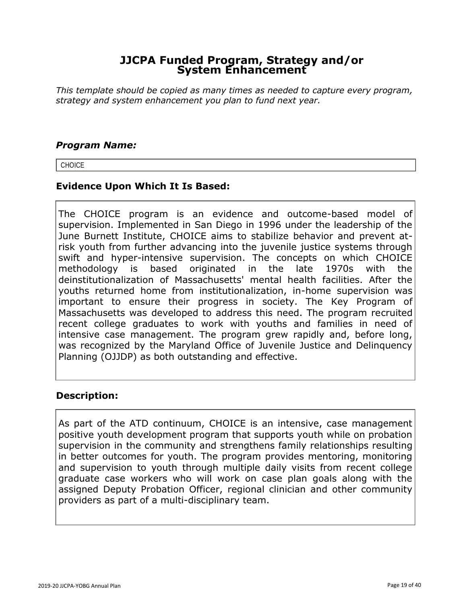*This template should be copied as many times as needed to capture every program, strategy and system enhancement you plan to fund next year.*

#### *Program Name:*

**CHOICE** 

#### **Evidence Upon Which It Is Based:**

The CHOICE program is an evidence and outcome-based model of supervision. Implemented in San Diego in 1996 under the leadership of the June Burnett Institute, CHOICE aims to stabilize behavior and prevent atrisk youth from further advancing into the juvenile justice systems through swift and hyper-intensive supervision. The concepts on which CHOICE methodology is based originated in the late 1970s with the deinstitutionalization of Massachusetts' mental health facilities. After the youths returned home from institutionalization, in-home supervision was important to ensure their progress in society. The Key Program of Massachusetts was developed to address this need. The program recruited recent college graduates to work with youths and families in need of intensive case management. The program grew rapidly and, before long, was recognized by the Maryland Office of Juvenile Justice and Delinquency Planning (OJJDP) as both outstanding and effective.

#### **Description:**

As part of the ATD continuum, CHOICE is an intensive, case management positive youth development program that supports youth while on probation supervision in the community and strengthens family relationships resulting in better outcomes for youth. The program provides mentoring, monitoring and supervision to youth through multiple daily visits from recent college graduate case workers who will work on case plan goals along with the assigned Deputy Probation Officer, regional clinician and other community providers as part of a multi-disciplinary team.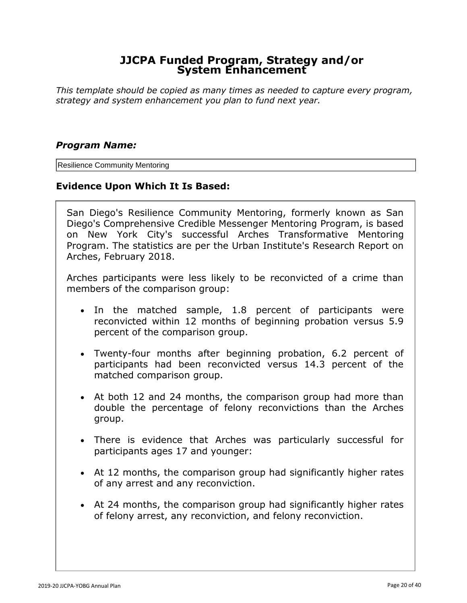*This template should be copied as many times as needed to capture every program, strategy and system enhancement you plan to fund next year.*

#### *Program Name:*

Resilience Community Mentoring

#### **Evidence Upon Which It Is Based:**

San Diego's Resilience Community Mentoring, formerly known as San Diego's Comprehensive Credible Messenger Mentoring Program, is based on New York City's successful Arches Transformative Mentoring Program. The statistics are per the Urban Institute's Research Report on Arches, February 2018.

Arches participants were less likely to be reconvicted of a crime than members of the comparison group:

- In the matched sample, 1.8 percent of participants were reconvicted within 12 months of beginning probation versus 5.9 percent of the comparison group.
- Twenty-four months after beginning probation, 6.2 percent of participants had been reconvicted versus 14.3 percent of the matched comparison group.
- At both 12 and 24 months, the comparison group had more than double the percentage of felony reconvictions than the Arches group.
- There is evidence that Arches was particularly successful for participants ages 17 and younger:
- At 12 months, the comparison group had significantly higher rates of any arrest and any reconviction.
- At 24 months, the comparison group had significantly higher rates of felony arrest, any reconviction, and felony reconviction.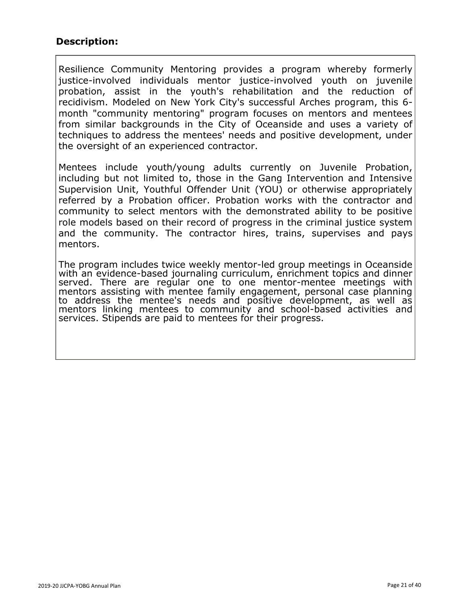# **Description:**

Resilience Community Mentoring provides a program whereby formerly justice-involved individuals mentor justice-involved youth on juvenile probation, assist in the youth's rehabilitation and the reduction of recidivism. Modeled on New York City's successful Arches program, this 6 month "community mentoring" program focuses on mentors and mentees from similar backgrounds in the City of Oceanside and uses a variety of techniques to address the mentees' needs and positive development, under the oversight of an experienced contractor.

Mentees include youth/young adults currently on Juvenile Probation, including but not limited to, those in the Gang Intervention and Intensive Supervision Unit, Youthful Offender Unit (YOU) or otherwise appropriately referred by a Probation officer. Probation works with the contractor and community to select mentors with the demonstrated ability to be positive role models based on their record of progress in the criminal justice system and the community. The contractor hires, trains, supervises and pays mentors.

The program includes twice weekly mentor-led group meetings in Oceanside with an evidence-based journaling curriculum, enrichment topics and dinner served. There are regular one to one mentor-mentee meetings with mentors assisting with mentee family engagement, personal case planning to address the mentee's needs and positive development, as well as mentors linking mentees to community and school-based activities and services. Stipends are paid to mentees for their progress.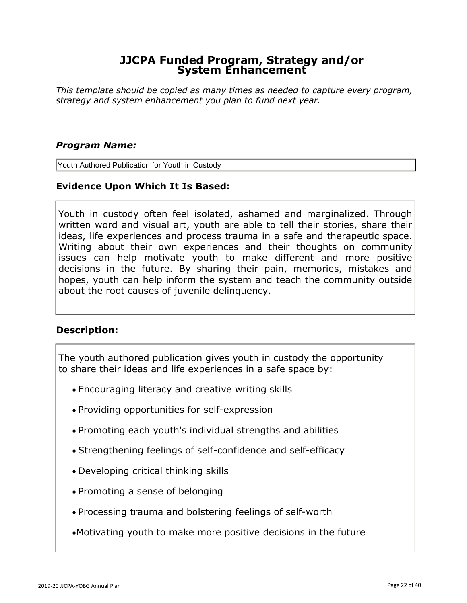*This template should be copied as many times as needed to capture every program, strategy and system enhancement you plan to fund next year.*

#### *Program Name:*

Youth Authored Publication for Youth in Custody

#### **Evidence Upon Which It Is Based:**

Youth in custody often feel isolated, ashamed and marginalized. Through written word and visual art, youth are able to tell their stories, share their ideas, life experiences and process trauma in a safe and therapeutic space. Writing about their own experiences and their thoughts on community issues can help motivate youth to make different and more positive decisions in the future. By sharing their pain, memories, mistakes and hopes, youth can help inform the system and teach the community outside about the root causes of juvenile delinquency.

#### **Description:**

The youth authored publication gives youth in custody the opportunity to share their ideas and life experiences in a safe space by:

- Encouraging literacy and creative writing skills
- Providing opportunities for self-expression
- Promoting each youth's individual strengths and abilities
- Strengthening feelings of self-confidence and self-efficacy
- Developing critical thinking skills
- Promoting a sense of belonging
- Processing trauma and bolstering feelings of self-worth
- •Motivating youth to make more positive decisions in the future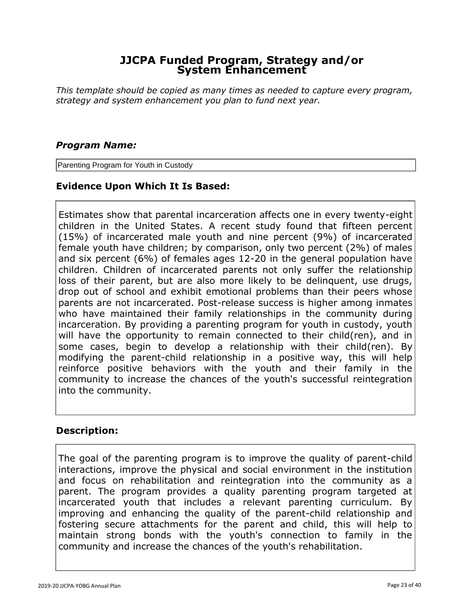*This template should be copied as many times as needed to capture every program, strategy and system enhancement you plan to fund next year.*

#### *Program Name:*

Parenting Program for Youth in Custody

# **Evidence Upon Which It Is Based:**

Estimates show that parental incarceration affects one in every twenty-eight children in the United States. A recent study found that fifteen percent (15%) of incarcerated male youth and nine percent (9%) of incarcerated female youth have children; by comparison, only two percent (2%) of males and six percent (6%) of females ages 12-20 in the general population have children. Children of incarcerated parents not only suffer the relationship loss of their parent, but are also more likely to be delinquent, use drugs, drop out of school and exhibit emotional problems than their peers whose parents are not incarcerated. Post-release success is higher among inmates who have maintained their family relationships in the community during incarceration. By providing a parenting program for youth in custody, youth will have the opportunity to remain connected to their child(ren), and in some cases, begin to develop a relationship with their child(ren). By modifying the parent-child relationship in a positive way, this will help reinforce positive behaviors with the youth and their family in the community to increase the chances of the youth's successful reintegration into the community.

#### **Description:**

The goal of the parenting program is to improve the quality of parent-child interactions, improve the physical and social environment in the institution and focus on rehabilitation and reintegration into the community as a parent. The program provides a quality parenting program targeted at incarcerated youth that includes a relevant parenting curriculum. By improving and enhancing the quality of the parent-child relationship and fostering secure attachments for the parent and child, this will help to maintain strong bonds with the youth's connection to family in the community and increase the chances of the youth's rehabilitation.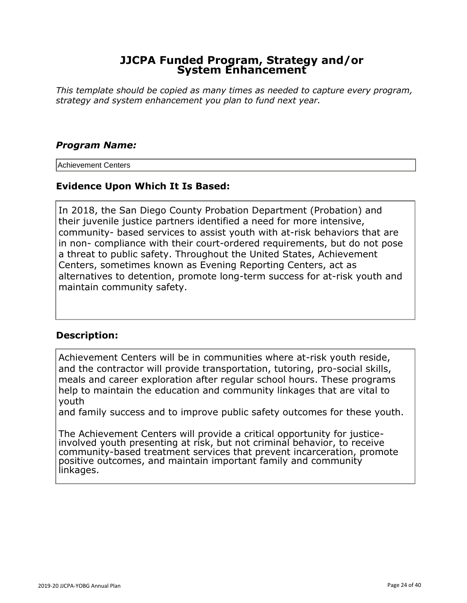*This template should be copied as many times as needed to capture every program, strategy and system enhancement you plan to fund next year.*

#### *Program Name:*

Achievement Centers

#### **Evidence Upon Which It Is Based:**

In 2018, the San Diego County Probation Department (Probation) and their juvenile justice partners identified a need for more intensive, community- based services to assist youth with at-risk behaviors that are in non- compliance with their court-ordered requirements, but do not pose a threat to public safety. Throughout the United States, Achievement Centers, sometimes known as Evening Reporting Centers, act as alternatives to detention, promote long-term success for at-risk youth and maintain community safety.

#### **Description:**

Achievement Centers will be in communities where at-risk youth reside, and the contractor will provide transportation, tutoring, pro-social skills, meals and career exploration after regular school hours. These programs help to maintain the education and community linkages that are vital to youth

and family success and to improve public safety outcomes for these youth.

The Achievement Centers will provide a critical opportunity for justiceinvolved youth presenting at risk, but not criminal behavior, to receive community-based treatment services that prevent incarceration, promote positive outcomes, and maintain important family and community linkages.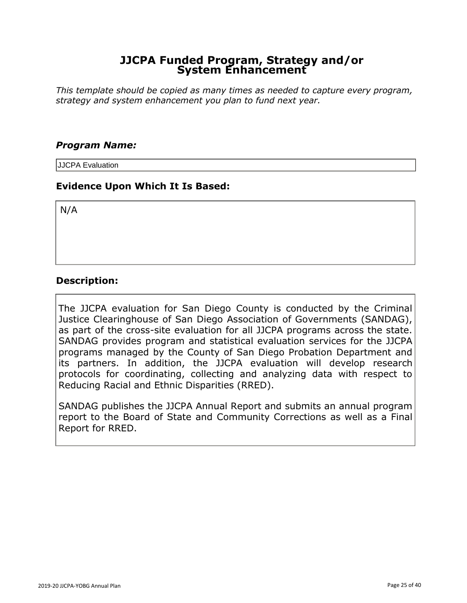*This template should be copied as many times as needed to capture every program, strategy and system enhancement you plan to fund next year.*

#### *Program Name:*

JJCPA Evaluation

#### **Evidence Upon Which It Is Based:**

N/A

#### **Description:**

The JJCPA evaluation for San Diego County is conducted by the Criminal Justice Clearinghouse of San Diego Association of Governments (SANDAG), as part of the cross-site evaluation for all JJCPA programs across the state. SANDAG provides program and statistical evaluation services for the JJCPA programs managed by the County of San Diego Probation Department and its partners. In addition, the JJCPA evaluation will develop research protocols for coordinating, collecting and analyzing data with respect to Reducing Racial and Ethnic Disparities (RRED).

SANDAG publishes the JJCPA Annual Report and submits an annual program report to the Board of State and Community Corrections as well as a Final Report for RRED.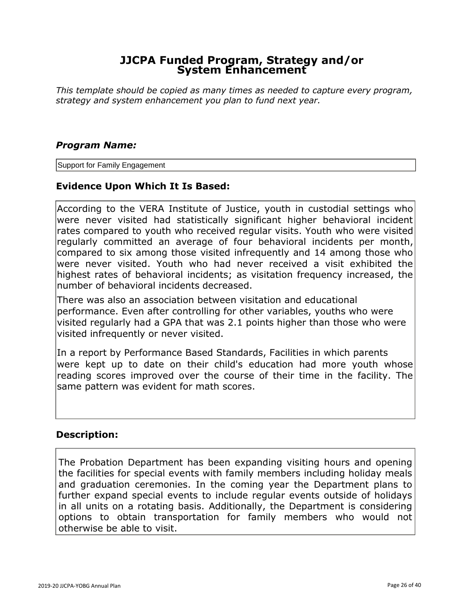*This template should be copied as many times as needed to capture every program, strategy and system enhancement you plan to fund next year.*

#### *Program Name:*

Support for Family Engagement

#### **Evidence Upon Which It Is Based:**

According to the VERA Institute of Justice, youth in custodial settings who were never visited had statistically significant higher behavioral incident rates compared to youth who received regular visits. Youth who were visited regularly committed an average of four behavioral incidents per month, compared to six among those visited infrequently and 14 among those who were never visited. Youth who had never received a visit exhibited the highest rates of behavioral incidents; as visitation frequency increased, the number of behavioral incidents decreased.

There was also an association between visitation and educational performance. Even after controlling for other variables, youths who were visited regularly had a GPA that was 2.1 points higher than those who were visited infrequently or never visited.

In a report by Performance Based Standards, Facilities in which parents were kept up to date on their child's education had more youth whose reading scores improved over the course of their time in the facility. The same pattern was evident for math scores.

#### **Description:**

The Probation Department has been expanding visiting hours and opening the facilities for special events with family members including holiday meals and graduation ceremonies. In the coming year the Department plans to further expand special events to include regular events outside of holidays in all units on a rotating basis. Additionally, the Department is considering options to obtain transportation for family members who would not otherwise be able to visit.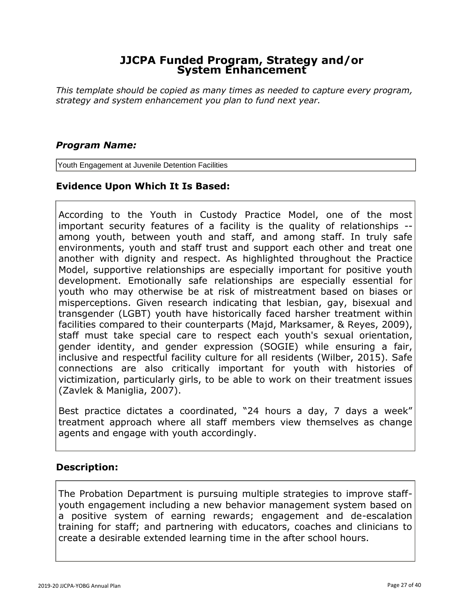*This template should be copied as many times as needed to capture every program, strategy and system enhancement you plan to fund next year.*

#### *Program Name:*

Youth Engagement at Juvenile Detention Facilities

#### **Evidence Upon Which It Is Based:**

According to the Youth in Custody Practice Model, one of the most important security features of a facility is the quality of relationships - among youth, between youth and staff, and among staff. In truly safe environments, youth and staff trust and support each other and treat one another with dignity and respect. As highlighted throughout the Practice Model, supportive relationships are especially important for positive youth development. Emotionally safe relationships are especially essential for youth who may otherwise be at risk of mistreatment based on biases or misperceptions. Given research indicating that lesbian, gay, bisexual and transgender (LGBT) youth have historically faced harsher treatment within facilities compared to their counterparts (Majd, Marksamer, & Reyes, 2009), staff must take special care to respect each youth's sexual orientation, gender identity, and gender expression (SOGIE) while ensuring a fair, inclusive and respectful facility culture for all residents (Wilber, 2015). Safe connections are also critically important for youth with histories of victimization, particularly girls, to be able to work on their treatment issues (Zavlek & Maniglia, 2007).

Best practice dictates a coordinated, "24 hours a day, 7 days a week" treatment approach where all staff members view themselves as change agents and engage with youth accordingly.

#### **Description:**

The Probation Department is pursuing multiple strategies to improve staffyouth engagement including a new behavior management system based on a positive system of earning rewards; engagement and de-escalation training for staff; and partnering with educators, coaches and clinicians to create a desirable extended learning time in the after school hours.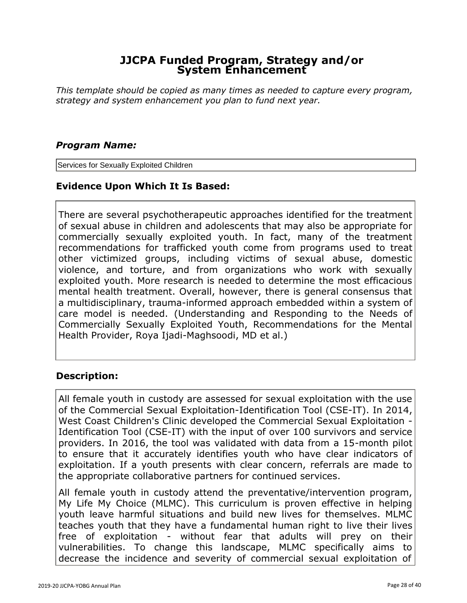*This template should be copied as many times as needed to capture every program, strategy and system enhancement you plan to fund next year.*

#### *Program Name:*

Services for Sexually Exploited Children

# **Evidence Upon Which It Is Based:**

There are several psychotherapeutic approaches identified for the treatment of sexual abuse in children and adolescents that may also be appropriate for commercially sexually exploited youth. In fact, many of the treatment recommendations for trafficked youth come from programs used to treat other victimized groups, including victims of sexual abuse, domestic violence, and torture, and from organizations who work with sexually exploited youth. More research is needed to determine the most efficacious mental health treatment. Overall, however, there is general consensus that a multidisciplinary, trauma-informed approach embedded within a system of care model is needed. (Understanding and Responding to the Needs of Commercially Sexually Exploited Youth, Recommendations for the Mental Health Provider, Roya Ijadi-Maghsoodi, MD et al.)

# **Description:**

All female youth in custody are assessed for sexual exploitation with the use of the Commercial Sexual Exploitation-Identification Tool (CSE-IT). In 2014, West Coast Children's Clinic developed the Commercial Sexual Exploitation - Identification Tool (CSE-IT) with the input of over 100 survivors and service providers. In 2016, the tool was validated with data from a 15-month pilot to ensure that it accurately identifies youth who have clear indicators of exploitation. If a youth presents with clear concern, referrals are made to the appropriate collaborative partners for continued services.

All female youth in custody attend the preventative/intervention program, My Life My Choice (MLMC). This curriculum is proven effective in helping youth leave harmful situations and build new lives for themselves. MLMC teaches youth that they have a fundamental human right to live their lives free of exploitation - without fear that adults will prey on their vulnerabilities. To change this landscape, MLMC specifically aims to decrease the incidence and severity of commercial sexual exploitation of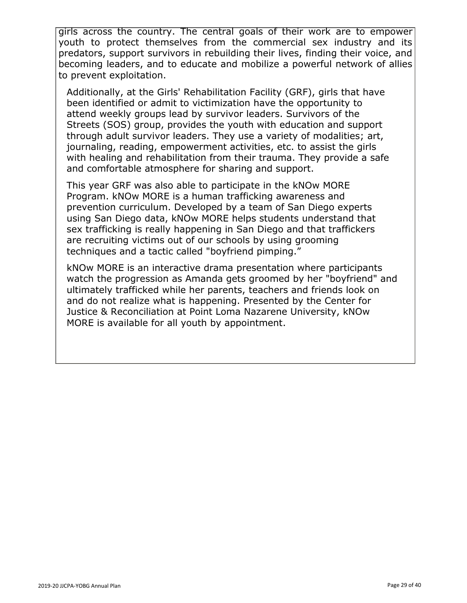girls across the country. The central goals of their work are to empower youth to protect themselves from the commercial sex industry and its predators, support survivors in rebuilding their lives, finding their voice, and becoming leaders, and to educate and mobilize a powerful network of allies to prevent exploitation.

Additionally, at the Girls' Rehabilitation Facility (GRF), girls that have been identified or admit to victimization have the opportunity to attend weekly groups lead by survivor leaders. Survivors of the Streets (SOS) group, provides the youth with education and support through adult survivor leaders. They use a variety of modalities; art, journaling, reading, empowerment activities, etc. to assist the girls with healing and rehabilitation from their trauma. They provide a safe and comfortable atmosphere for sharing and support.

This year GRF was also able to participate in the kNOw MORE Program. kNOw MORE is a human trafficking awareness and prevention curriculum. Developed by a team of San Diego experts using San Diego data, kNOw MORE helps students understand that sex trafficking is really happening in San Diego and that traffickers are recruiting victims out of our schools by using grooming techniques and a tactic called "boyfriend pimping."

kNOw MORE is an interactive drama presentation where participants watch the progression as Amanda gets groomed by her "boyfriend" and ultimately trafficked while her parents, teachers and friends look on and do not realize what is happening. Presented by the Center for Justice & Reconciliation at Point Loma Nazarene University, kNOw MORE is available for all youth by appointment.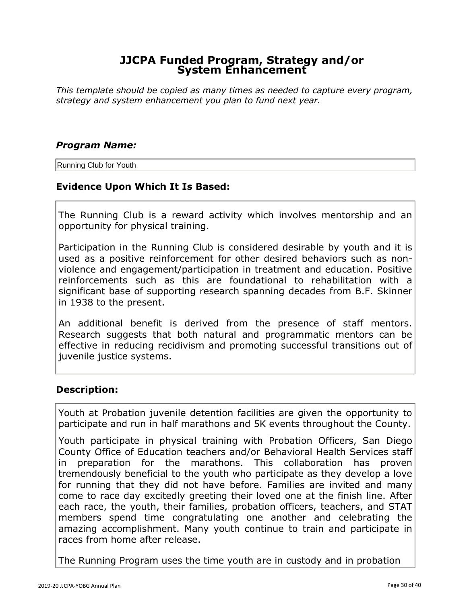*This template should be copied as many times as needed to capture every program, strategy and system enhancement you plan to fund next year.*

#### *Program Name:*

Running Club for Youth

#### **Evidence Upon Which It Is Based:**

The Running Club is a reward activity which involves mentorship and an opportunity for physical training.

Participation in the Running Club is considered desirable by youth and it is used as a positive reinforcement for other desired behaviors such as nonviolence and engagement/participation in treatment and education. Positive reinforcements such as this are foundational to rehabilitation with a significant base of supporting research spanning decades from B.F. Skinner in 1938 to the present.

An additional benefit is derived from the presence of staff mentors. Research suggests that both natural and programmatic mentors can be effective in reducing recidivism and promoting successful transitions out of juvenile justice systems.

# **Description:**

Youth at Probation juvenile detention facilities are given the opportunity to participate and run in half marathons and 5K events throughout the County.

Youth participate in physical training with Probation Officers, San Diego County Office of Education teachers and/or Behavioral Health Services staff in preparation for the marathons. This collaboration has proven tremendously beneficial to the youth who participate as they develop a love for running that they did not have before. Families are invited and many come to race day excitedly greeting their loved one at the finish line. After each race, the youth, their families, probation officers, teachers, and STAT members spend time congratulating one another and celebrating the amazing accomplishment. Many youth continue to train and participate in races from home after release.

The Running Program uses the time youth are in custody and in probation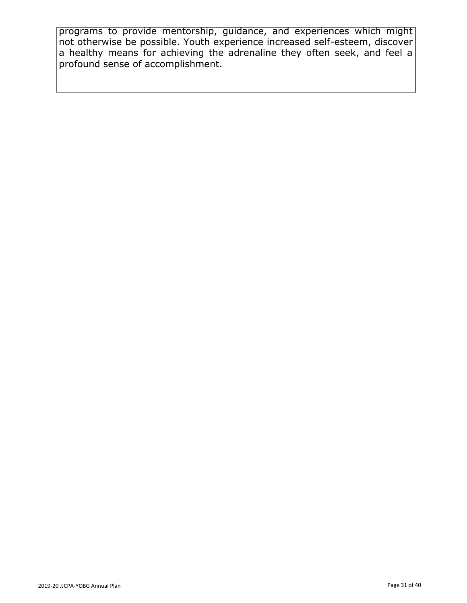programs to provide mentorship, guidance, and experiences which might not otherwise be possible. Youth experience increased self-esteem, discover a healthy means for achieving the adrenaline they often seek, and feel a profound sense of accomplishment.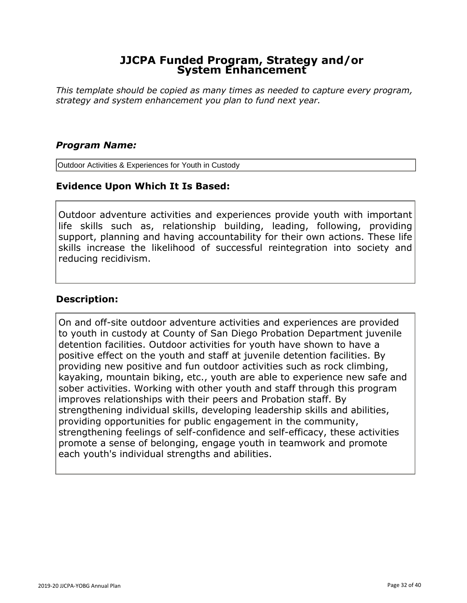*This template should be copied as many times as needed to capture every program, strategy and system enhancement you plan to fund next year.*

#### *Program Name:*

Outdoor Activities & Experiences for Youth in Custody

#### **Evidence Upon Which It Is Based:**

Outdoor adventure activities and experiences provide youth with important life skills such as, relationship building, leading, following, providing support, planning and having accountability for their own actions. These life skills increase the likelihood of successful reintegration into society and reducing recidivism.

#### **Description:**

On and off-site outdoor adventure activities and experiences are provided to youth in custody at County of San Diego Probation Department juvenile detention facilities. Outdoor activities for youth have shown to have a positive effect on the youth and staff at juvenile detention facilities. By providing new positive and fun outdoor activities such as rock climbing, kayaking, mountain biking, etc., youth are able to experience new safe and sober activities. Working with other youth and staff through this program improves relationships with their peers and Probation staff. By strengthening individual skills, developing leadership skills and abilities, providing opportunities for public engagement in the community, strengthening feelings of self-confidence and self-efficacy, these activities promote a sense of belonging, engage youth in teamwork and promote each youth's individual strengths and abilities.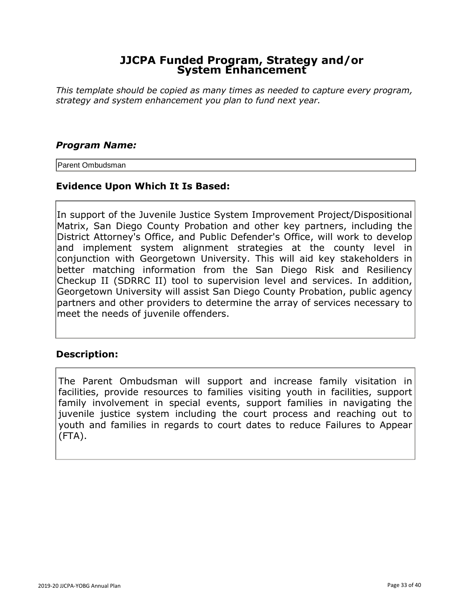*This template should be copied as many times as needed to capture every program, strategy and system enhancement you plan to fund next year.*

#### *Program Name:*

Parent Ombudsman

#### **Evidence Upon Which It Is Based:**

In support of the Juvenile Justice System Improvement Project/Dispositional Matrix, San Diego County Probation and other key partners, including the District Attorney's Office, and Public Defender's Office, will work to develop and implement system alignment strategies at the county level in conjunction with Georgetown University. This will aid key stakeholders in better matching information from the San Diego Risk and Resiliency Checkup II (SDRRC II) tool to supervision level and services. In addition, Georgetown University will assist San Diego County Probation, public agency partners and other providers to determine the array of services necessary to meet the needs of juvenile offenders.

# **Description:**

The Parent Ombudsman will support and increase family visitation in facilities, provide resources to families visiting youth in facilities, support family involvement in special events, support families in navigating the juvenile justice system including the court process and reaching out to youth and families in regards to court dates to reduce Failures to Appear (FTA).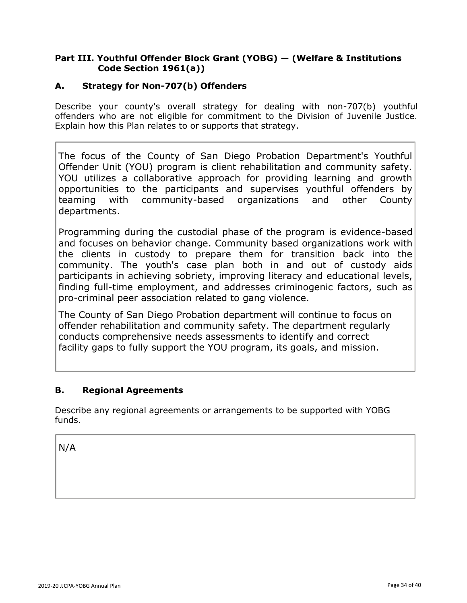#### **Part III. Youthful Offender Block Grant (YOBG) — (Welfare & Institutions Code Section 1961(a))**

#### **A. Strategy for Non-707(b) Offenders**

Describe your county's overall strategy for dealing with non-707(b) youthful offenders who are not eligible for commitment to the Division of Juvenile Justice. Explain how this Plan relates to or supports that strategy.

The focus of the County of San Diego Probation Department's Youthful Offender Unit (YOU) program is client rehabilitation and community safety. YOU utilizes a collaborative approach for providing learning and growth opportunities to the participants and supervises youthful offenders by teaming with community-based organizations and other County departments.

Programming during the custodial phase of the program is evidence-based and focuses on behavior change. Community based organizations work with the clients in custody to prepare them for transition back into the community. The youth's case plan both in and out of custody aids participants in achieving sobriety, improving literacy and educational levels, finding full-time employment, and addresses criminogenic factors, such as pro-criminal peer association related to gang violence.

The County of San Diego Probation department will continue to focus on offender rehabilitation and community safety. The department regularly conducts comprehensive needs assessments to identify and correct facility gaps to fully support the YOU program, its goals, and mission.

#### **B. Regional Agreements**

Describe any regional agreements or arrangements to be supported with YOBG funds.

N/A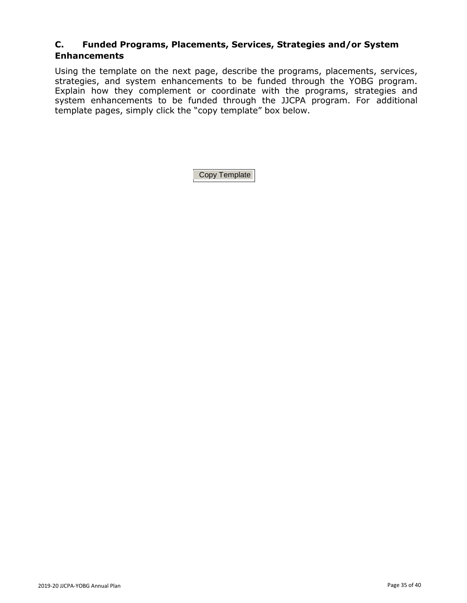Using the template on the next page, describe the programs, placements, services, strategies, and system enhancements to be funded through the YOBG program. Explain how they complement or coordinate with the programs, strategies and system enhancements to be funded through the JJCPA program. For additional template pages, simply click the "copy template" box below.

Copy Template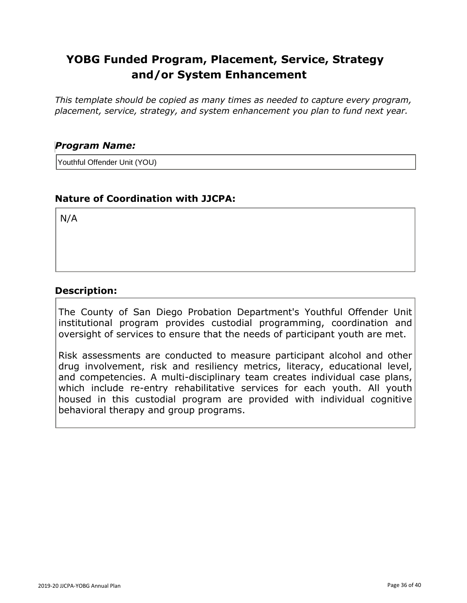*This template should be copied as many times as needed to capture every program, placement, service, strategy, and system enhancement you plan to fund next year.*

#### *Program Name:*

Youthful Offender Unit (YOU)

# **Nature of Coordination with JJCPA:**

N/A

#### **Description:**

The County of San Diego Probation Department's Youthful Offender Unit institutional program provides custodial programming, coordination and oversight of services to ensure that the needs of participant youth are met.

Risk assessments are conducted to measure participant alcohol and other drug involvement, risk and resiliency metrics, literacy, educational level, and competencies. A multi-disciplinary team creates individual case plans, which include re-entry rehabilitative services for each youth. All youth housed in this custodial program are provided with individual cognitive behavioral therapy and group programs.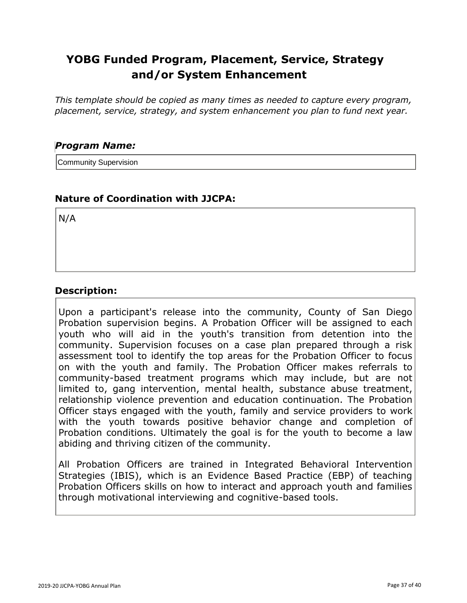*This template should be copied as many times as needed to capture every program, placement, service, strategy, and system enhancement you plan to fund next year.*

#### *Program Name:*

Community Supervision

# **Nature of Coordination with JJCPA:**

N/A

#### **Description:**

Upon a participant's release into the community, County of San Diego Probation supervision begins. A Probation Officer will be assigned to each youth who will aid in the youth's transition from detention into the community. Supervision focuses on a case plan prepared through a risk assessment tool to identify the top areas for the Probation Officer to focus on with the youth and family. The Probation Officer makes referrals to community-based treatment programs which may include, but are not limited to, gang intervention, mental health, substance abuse treatment, relationship violence prevention and education continuation. The Probation Officer stays engaged with the youth, family and service providers to work with the youth towards positive behavior change and completion of Probation conditions. Ultimately the goal is for the youth to become a law abiding and thriving citizen of the community.

All Probation Officers are trained in Integrated Behavioral Intervention Strategies (IBIS), which is an Evidence Based Practice (EBP) of teaching Probation Officers skills on how to interact and approach youth and families through motivational interviewing and cognitive-based tools.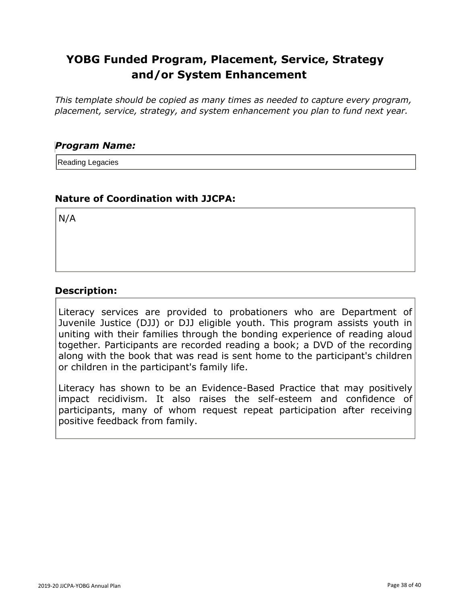*This template should be copied as many times as needed to capture every program, placement, service, strategy, and system enhancement you plan to fund next year.*

#### *Program Name:*

Reading Legacies

# **Nature of Coordination with JJCPA:**

N/A

# **Description:**

Literacy services are provided to probationers who are Department of Juvenile Justice (DJJ) or DJJ eligible youth. This program assists youth in uniting with their families through the bonding experience of reading aloud together. Participants are recorded reading a book; a DVD of the recording along with the book that was read is sent home to the participant's children or children in the participant's family life.

Literacy has shown to be an Evidence-Based Practice that may positively impact recidivism. It also raises the self-esteem and confidence of participants, many of whom request repeat participation after receiving positive feedback from family.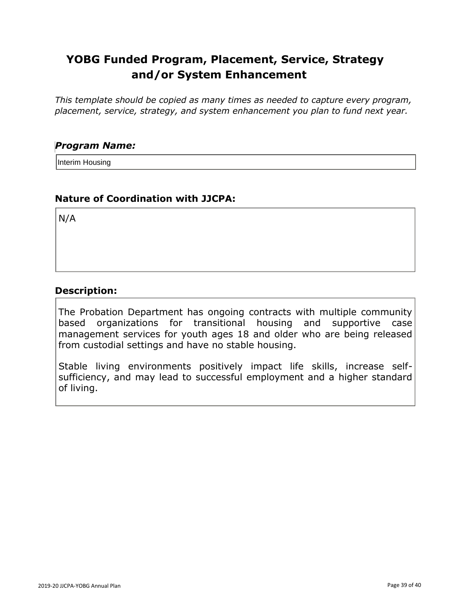*This template should be copied as many times as needed to capture every program, placement, service, strategy, and system enhancement you plan to fund next year.*

#### *Program Name:*

Interim Housing

# **Nature of Coordination with JJCPA:**

N/A

#### **Description:**

The Probation Department has ongoing contracts with multiple community based organizations for transitional housing and supportive case management services for youth ages 18 and older who are being released from custodial settings and have no stable housing.

Stable living environments positively impact life skills, increase selfsufficiency, and may lead to successful employment and a higher standard of living.